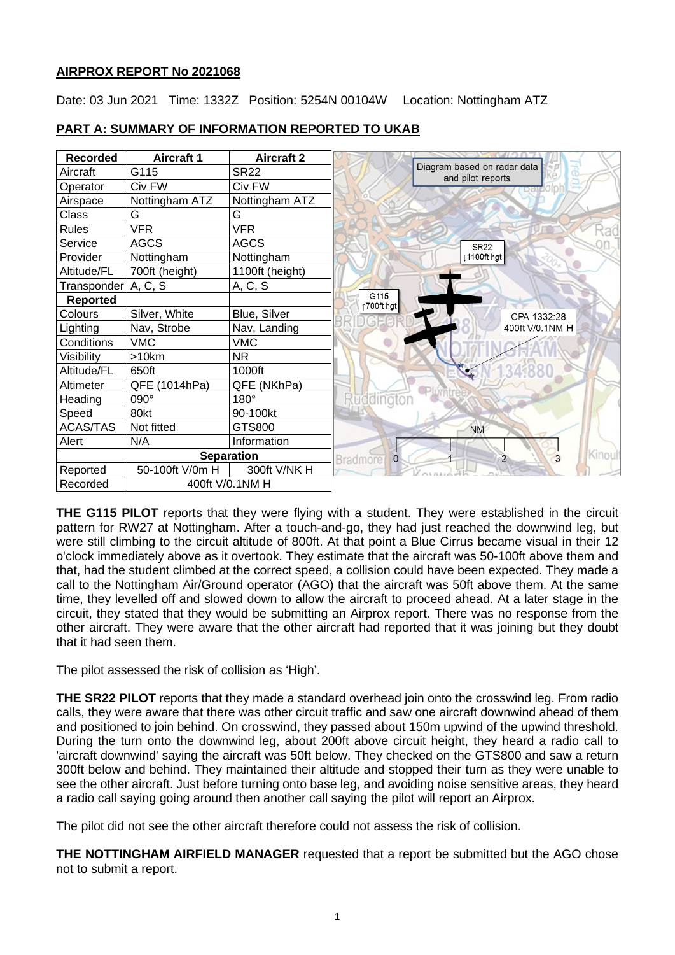## **AIRPROX REPORT No 2021068**

Date: 03 Jun 2021 Time: 1332Z Position: 5254N 00104W Location: Nottingham ATZ



# **PART A: SUMMARY OF INFORMATION REPORTED TO UKAB**

**THE G115 PILOT** reports that they were flying with a student. They were established in the circuit pattern for RW27 at Nottingham. After a touch-and-go, they had just reached the downwind leg, but were still climbing to the circuit altitude of 800ft. At that point a Blue Cirrus became visual in their 12 o'clock immediately above as it overtook. They estimate that the aircraft was 50-100ft above them and that, had the student climbed at the correct speed, a collision could have been expected. They made a call to the Nottingham Air/Ground operator (AGO) that the aircraft was 50ft above them. At the same time, they levelled off and slowed down to allow the aircraft to proceed ahead. At a later stage in the circuit, they stated that they would be submitting an Airprox report. There was no response from the other aircraft. They were aware that the other aircraft had reported that it was joining but they doubt that it had seen them.

The pilot assessed the risk of collision as 'High'.

**THE SR22 PILOT** reports that they made a standard overhead join onto the crosswind leg. From radio calls, they were aware that there was other circuit traffic and saw one aircraft downwind ahead of them and positioned to join behind. On crosswind, they passed about 150m upwind of the upwind threshold. During the turn onto the downwind leg, about 200ft above circuit height, they heard a radio call to 'aircraft downwind' saying the aircraft was 50ft below. They checked on the GTS800 and saw a return 300ft below and behind. They maintained their altitude and stopped their turn as they were unable to see the other aircraft. Just before turning onto base leg, and avoiding noise sensitive areas, they heard a radio call saying going around then another call saying the pilot will report an Airprox.

The pilot did not see the other aircraft therefore could not assess the risk of collision.

**THE NOTTINGHAM AIRFIELD MANAGER** requested that a report be submitted but the AGO chose not to submit a report.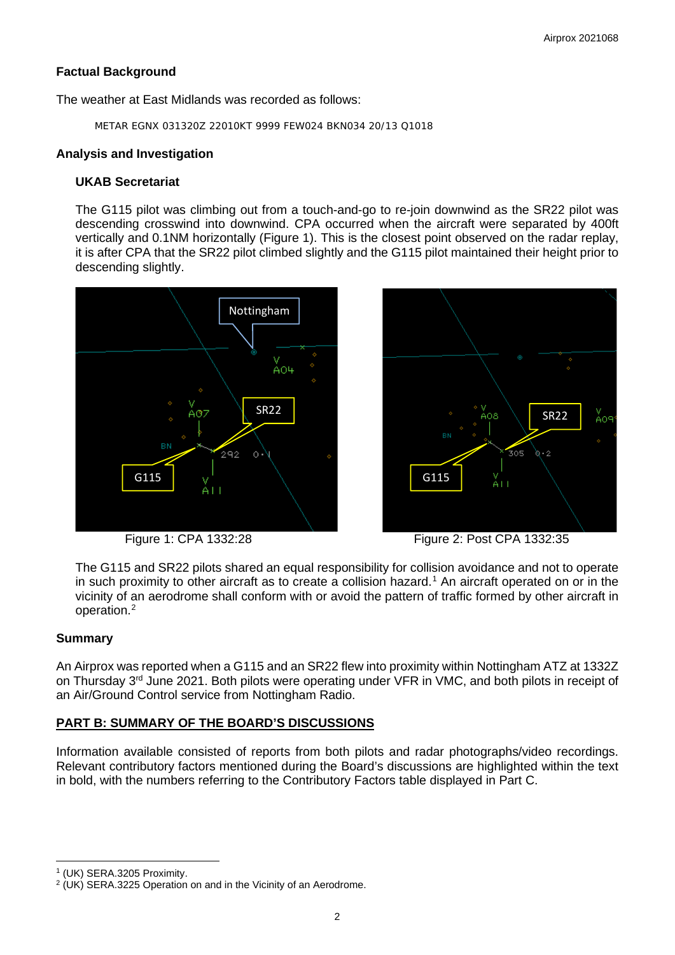# **Factual Background**

The weather at East Midlands was recorded as follows:

METAR EGNX 031320Z 22010KT 9999 FEW024 BKN034 20/13 Q1018

## **Analysis and Investigation**

# **UKAB Secretariat**

The G115 pilot was climbing out from a touch-and-go to re-join downwind as the SR22 pilot was descending crosswind into downwind. CPA occurred when the aircraft were separated by 400ft vertically and 0.1NM horizontally (Figure 1). This is the closest point observed on the radar replay, it is after CPA that the SR22 pilot climbed slightly and the G115 pilot maintained their height prior to descending slightly.





Figure 1: CPA 1332:28 Figure 2: Post CPA 1332:35

The G115 and SR22 pilots shared an equal responsibility for collision avoidance and not to operate in such proximity to other aircraft as to create a collision hazard. [1](#page-1-0) An aircraft operated on or in the vicinity of an aerodrome shall conform with or avoid the pattern of traffic formed by other aircraft in operation. [2](#page-1-1)

## **Summary**

An Airprox was reported when a G115 and an SR22 flew into proximity within Nottingham ATZ at 1332Z on Thursday 3<sup>rd</sup> June 2021. Both pilots were operating under VFR in VMC, and both pilots in receipt of an Air/Ground Control service from Nottingham Radio.

# **PART B: SUMMARY OF THE BOARD'S DISCUSSIONS**

Information available consisted of reports from both pilots and radar photographs/video recordings. Relevant contributory factors mentioned during the Board's discussions are highlighted within the text in bold, with the numbers referring to the Contributory Factors table displayed in Part C.

<span id="page-1-1"></span><span id="page-1-0"></span><sup>&</sup>lt;sup>1</sup> (UK) SERA.3205 Proximity.<br><sup>2</sup> (UK) SERA.3225 Operation on and in the Vicinity of an Aerodrome.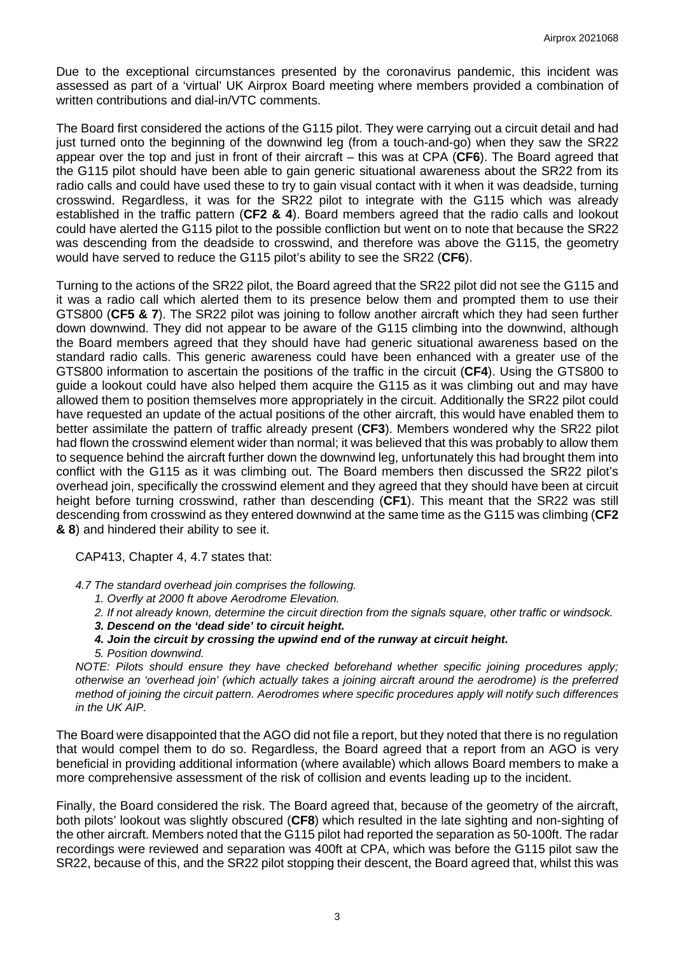Due to the exceptional circumstances presented by the coronavirus pandemic, this incident was assessed as part of a 'virtual' UK Airprox Board meeting where members provided a combination of written contributions and dial-in/VTC comments.

The Board first considered the actions of the G115 pilot. They were carrying out a circuit detail and had just turned onto the beginning of the downwind leg (from a touch-and-go) when they saw the SR22 appear over the top and just in front of their aircraft – this was at CPA (**CF6**). The Board agreed that the G115 pilot should have been able to gain generic situational awareness about the SR22 from its radio calls and could have used these to try to gain visual contact with it when it was deadside, turning crosswind. Regardless, it was for the SR22 pilot to integrate with the G115 which was already established in the traffic pattern (**CF2 & 4**). Board members agreed that the radio calls and lookout could have alerted the G115 pilot to the possible confliction but went on to note that because the SR22 was descending from the deadside to crosswind, and therefore was above the G115, the geometry would have served to reduce the G115 pilot's ability to see the SR22 (**CF6**).

Turning to the actions of the SR22 pilot, the Board agreed that the SR22 pilot did not see the G115 and it was a radio call which alerted them to its presence below them and prompted them to use their GTS800 (**CF5 & 7**). The SR22 pilot was joining to follow another aircraft which they had seen further down downwind. They did not appear to be aware of the G115 climbing into the downwind, although the Board members agreed that they should have had generic situational awareness based on the standard radio calls. This generic awareness could have been enhanced with a greater use of the GTS800 information to ascertain the positions of the traffic in the circuit (**CF4**). Using the GTS800 to guide a lookout could have also helped them acquire the G115 as it was climbing out and may have allowed them to position themselves more appropriately in the circuit. Additionally the SR22 pilot could have requested an update of the actual positions of the other aircraft, this would have enabled them to better assimilate the pattern of traffic already present (**CF3**). Members wondered why the SR22 pilot had flown the crosswind element wider than normal; it was believed that this was probably to allow them to sequence behind the aircraft further down the downwind leg, unfortunately this had brought them into conflict with the G115 as it was climbing out. The Board members then discussed the SR22 pilot's overhead join, specifically the crosswind element and they agreed that they should have been at circuit height before turning crosswind, rather than descending (**CF1**). This meant that the SR22 was still descending from crosswind as they entered downwind at the same time as the G115 was climbing (**CF2 & 8**) and hindered their ability to see it.

CAP413, Chapter 4, 4.7 states that:

*4.7 The standard overhead join comprises the following.* 

- *1. Overfly at 2000 ft above Aerodrome Elevation.*
- *2. If not already known, determine the circuit direction from the signals square, other traffic or windsock.*
- *3. Descend on the 'dead side' to circuit height.*
- *4. Join the circuit by crossing the upwind end of the runway at circuit height.*
- *5. Position downwind.*

*NOTE: Pilots should ensure they have checked beforehand whether specific joining procedures apply; otherwise an 'overhead join' (which actually takes a joining aircraft around the aerodrome) is the preferred method of joining the circuit pattern. Aerodromes where specific procedures apply will notify such differences in the UK AIP.*

The Board were disappointed that the AGO did not file a report, but they noted that there is no regulation that would compel them to do so. Regardless, the Board agreed that a report from an AGO is very beneficial in providing additional information (where available) which allows Board members to make a more comprehensive assessment of the risk of collision and events leading up to the incident.

Finally, the Board considered the risk. The Board agreed that, because of the geometry of the aircraft, both pilots' lookout was slightly obscured (**CF8**) which resulted in the late sighting and non-sighting of the other aircraft. Members noted that the G115 pilot had reported the separation as 50-100ft. The radar recordings were reviewed and separation was 400ft at CPA, which was before the G115 pilot saw the SR22, because of this, and the SR22 pilot stopping their descent, the Board agreed that, whilst this was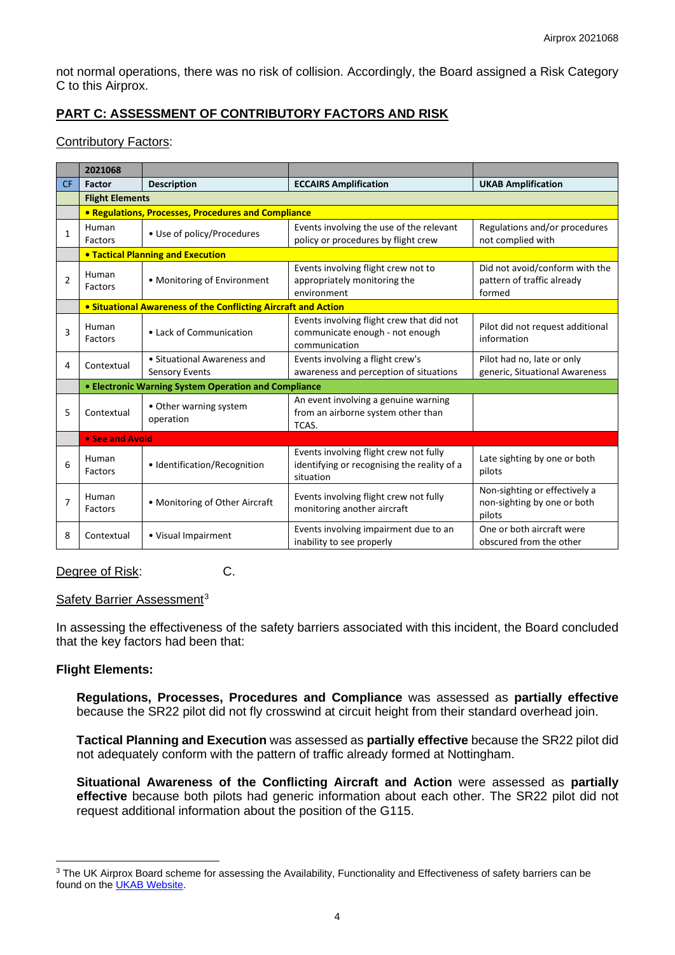not normal operations, there was no risk of collision. Accordingly, the Board assigned a Risk Category C to this Airprox.

# **PART C: ASSESSMENT OF CONTRIBUTORY FACTORS AND RISK**

## Contributory Factors:

|                | 2021068                                                        |                                                      |                                                                                                    |                                                                        |
|----------------|----------------------------------------------------------------|------------------------------------------------------|----------------------------------------------------------------------------------------------------|------------------------------------------------------------------------|
| <b>CF</b>      | Factor                                                         | <b>Description</b>                                   | <b>ECCAIRS Amplification</b>                                                                       | <b>UKAB Amplification</b>                                              |
|                | <b>Flight Elements</b>                                         |                                                      |                                                                                                    |                                                                        |
|                | • Regulations, Processes, Procedures and Compliance            |                                                      |                                                                                                    |                                                                        |
| 1              | Human<br>Factors                                               | • Use of policy/Procedures                           | Events involving the use of the relevant<br>policy or procedures by flight crew                    | Regulations and/or procedures<br>not complied with                     |
|                | <b>.</b> Tactical Planning and Execution                       |                                                      |                                                                                                    |                                                                        |
| $\overline{2}$ | Human<br>Factors                                               | • Monitoring of Environment                          | Events involving flight crew not to<br>appropriately monitoring the<br>environment                 | Did not avoid/conform with the<br>pattern of traffic already<br>formed |
|                | • Situational Awareness of the Conflicting Aircraft and Action |                                                      |                                                                                                    |                                                                        |
| 3              | Human<br><b>Factors</b>                                        | • Lack of Communication                              | Events involving flight crew that did not<br>communicate enough - not enough<br>communication      | Pilot did not request additional<br>information                        |
| 4              | Contextual                                                     | • Situational Awareness and<br><b>Sensory Events</b> | Events involving a flight crew's<br>awareness and perception of situations                         | Pilot had no, late or only<br>generic, Situational Awareness           |
|                | • Electronic Warning System Operation and Compliance           |                                                      |                                                                                                    |                                                                        |
| 5              | Contextual                                                     | • Other warning system<br>operation                  | An event involving a genuine warning<br>from an airborne system other than<br>TCAS.                |                                                                        |
|                | • See and Avoid                                                |                                                      |                                                                                                    |                                                                        |
| 6              | Human<br>Factors                                               | • Identification/Recognition                         | Events involving flight crew not fully<br>identifying or recognising the reality of a<br>situation | Late sighting by one or both<br>pilots                                 |
| $\overline{7}$ | Human<br>Factors                                               | • Monitoring of Other Aircraft                       | Events involving flight crew not fully<br>monitoring another aircraft                              | Non-sighting or effectively a<br>non-sighting by one or both<br>pilots |
| 8              | Contextual                                                     | · Visual Impairment                                  | Events involving impairment due to an<br>inability to see properly                                 | One or both aircraft were<br>obscured from the other                   |

## Degree of Risk: C.

#### Safety Barrier Assessment<sup>[3](#page-3-0)</sup>

In assessing the effectiveness of the safety barriers associated with this incident, the Board concluded that the key factors had been that:

## **Flight Elements:**

**Regulations, Processes, Procedures and Compliance** was assessed as **partially effective** because the SR22 pilot did not fly crosswind at circuit height from their standard overhead join.

**Tactical Planning and Execution** was assessed as **partially effective** because the SR22 pilot did not adequately conform with the pattern of traffic already formed at Nottingham.

**Situational Awareness of the Conflicting Aircraft and Action** were assessed as **partially effective** because both pilots had generic information about each other. The SR22 pilot did not request additional information about the position of the G115.

<span id="page-3-0"></span><sup>&</sup>lt;sup>3</sup> The UK Airprox Board scheme for assessing the Availability, Functionality and Effectiveness of safety barriers can be found on the [UKAB Website.](http://www.airproxboard.org.uk/Learn-more/Airprox-Barrier-Assessment/)